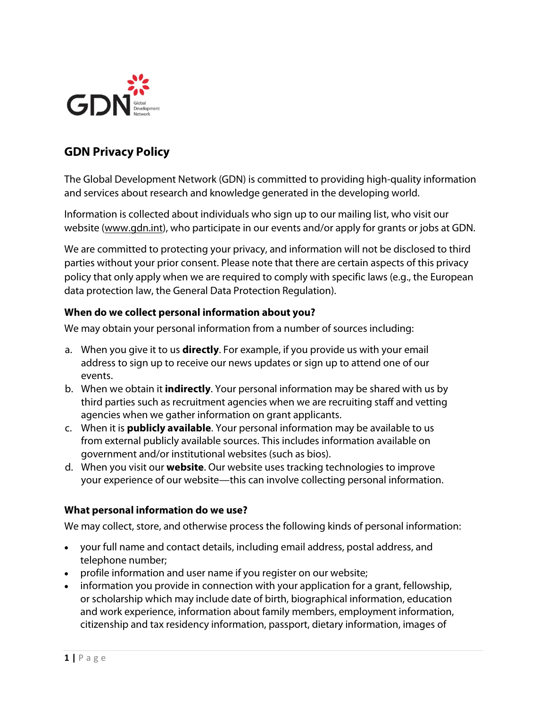

# **GDN Privacy Policy**

The Global Development Network (GDN) is committed to providing high-quality information and services about research and knowledge generated in the developing world.

Information is collected about individuals who sign up to our mailing list, who visit our website [\(www.gdn.int\)](http://www.gdn.int/), who participate in our events and/or apply for grants or jobs at GDN.

We are committed to protecting your privacy, and information will not be disclosed to third parties without your prior consent. Please note that there are certain aspects of this privacy policy that only apply when we are required to comply with specific laws (e.g., the European data protection law, the General Data Protection Regulation).

#### **When do we collect personal information about you?**

We may obtain your personal information from a number of sources including:

- a. When you give it to us **directly**. For example, if you provide us with your email address to sign up to receive our news updates or sign up to attend one of our events.
- b. When we obtain it **indirectly**. Your personal information may be shared with us by third parties such as recruitment agencies when we are recruiting staff and vetting agencies when we gather information on grant applicants.
- c. When it is **publicly available**. Your personal information may be available to us from external publicly available sources. This includes information available on government and/or institutional websites (such as bios).
- d. When you visit our **website**. Our website uses tracking technologies to improve your experience of our website—this can involve collecting personal information.

#### **What personal information do we use?**

We may collect, store, and otherwise process the following kinds of personal information:

- your full name and contact details, including email address, postal address, and telephone number;
- profile information and user name if you register on our website;
- information you provide in connection with your application for a grant, fellowship, or scholarship which may include date of birth, biographical information, education and work experience, information about family members, employment information, citizenship and tax residency information, passport, dietary information, images of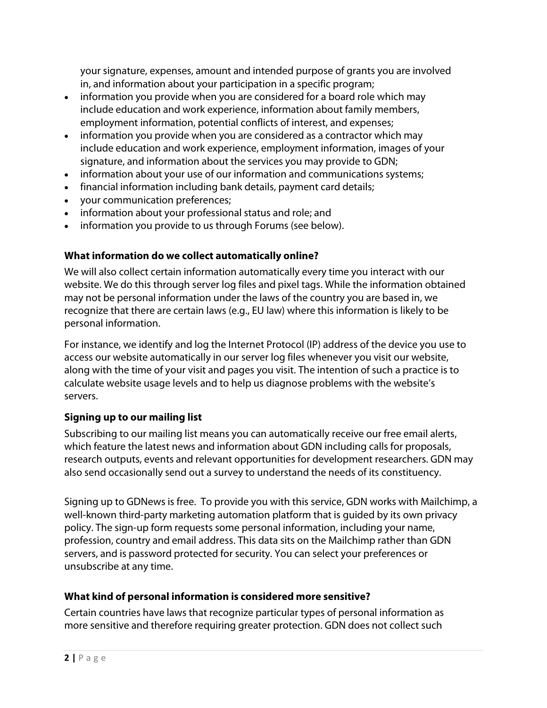your signature, expenses, amount and intended purpose of grants you are involved in, and information about your participation in a specific program;

- information you provide when you are considered for a board role which may include education and work experience, information about family members, employment information, potential conflicts of interest, and expenses;
- information you provide when you are considered as a contractor which may include education and work experience, employment information, images of your signature, and information about the services you may provide to GDN;
- information about your use of our information and communications systems;
- financial information including bank details, payment card details;
- your communication preferences;
- information about your professional status and role; and
- information you provide to us through Forums (see below).

## **What information do we collect automatically online?**

We will also collect certain information automatically every time you interact with our website. We do this through server log files and pixel tags. While the information obtained may not be personal information under the laws of the country you are based in, we recognize that there are certain laws (e.g., EU law) where this information is likely to be personal information.

For instance, we identify and log the Internet Protocol (IP) address of the device you use to access our website automatically in our server log files whenever you visit our website, along with the time of your visit and pages you visit. The intention of such a practice is to calculate website usage levels and to help us diagnose problems with the website's servers.

### **Signing up to our mailing list**

Subscribing to our mailing list means you can automatically receive our free email alerts, which feature the latest news and information about GDN including calls for proposals, research outputs, events and relevant opportunities for development researchers. GDN may also send occasionally send out a survey to understand the needs of its constituency.

Signing up to GDNews is free. To provide you with this service, GDN works with Mailchimp, a well-known third-party marketing automation platform that is guided by its own privacy policy. The sign-up form requests some personal information, including your name, profession, country and email address. This data sits on the Mailchimp rather than GDN servers, and is password protected for security. You can select your preferences or unsubscribe at any time.

## **What kind of personal information is considered more sensitive?**

Certain countries have laws that recognize particular types of personal information as more sensitive and therefore requiring greater protection. GDN does not collect such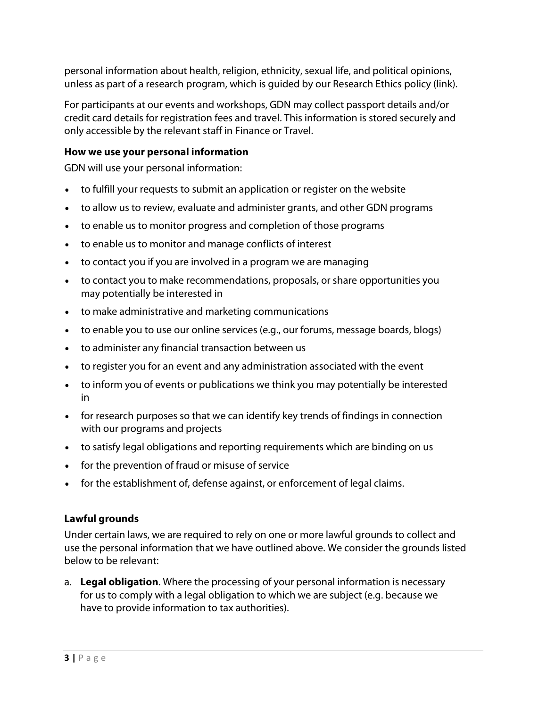personal information about health, religion, ethnicity, sexual life, and political opinions, unless as part of a research program, which is guided by our Research Ethics policy (link).

For participants at our events and workshops, GDN may collect passport details and/or credit card details for registration fees and travel. This information is stored securely and only accessible by the relevant staff in Finance or Travel.

#### **How we use your personal information**

GDN will use your personal information:

- to fulfill your requests to submit an application or register on the website
- to allow us to review, evaluate and administer grants, and other GDN programs
- to enable us to monitor progress and completion of those programs
- to enable us to monitor and manage conflicts of interest
- to contact you if you are involved in a program we are managing
- to contact you to make recommendations, proposals, or share opportunities you may potentially be interested in
- to make administrative and marketing communications
- to enable you to use our online services (e.g., our forums, message boards, blogs)
- to administer any financial transaction between us
- to register you for an event and any administration associated with the event
- to inform you of events or publications we think you may potentially be interested in
- for research purposes so that we can identify key trends of findings in connection with our programs and projects
- to satisfy legal obligations and reporting requirements which are binding on us
- for the prevention of fraud or misuse of service
- for the establishment of, defense against, or enforcement of legal claims.

#### **Lawful grounds**

Under certain laws, we are required to rely on one or more lawful grounds to collect and use the personal information that we have outlined above. We consider the grounds listed below to be relevant:

a. **Legal obligation**. Where the processing of your personal information is necessary for us to comply with a legal obligation to which we are subject (e.g. because we have to provide information to tax authorities).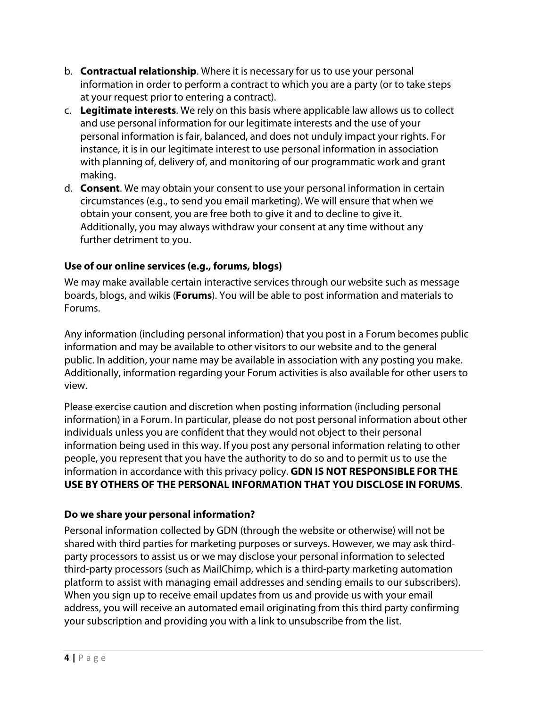- b. **Contractual relationship**. Where it is necessary for us to use your personal information in order to perform a contract to which you are a party (or to take steps at your request prior to entering a contract).
- c. **Legitimate interests**. We rely on this basis where applicable law allows us to collect and use personal information for our legitimate interests and the use of your personal information is fair, balanced, and does not unduly impact your rights. For instance, it is in our legitimate interest to use personal information in association with planning of, delivery of, and monitoring of our programmatic work and grant making.
- d. **Consent**. We may obtain your consent to use your personal information in certain circumstances (e.g., to send you email marketing). We will ensure that when we obtain your consent, you are free both to give it and to decline to give it. Additionally, you may always withdraw your consent at any time without any further detriment to you.

### **Use of our online services (e.g., forums, blogs)**

We may make available certain interactive services through our website such as message boards, blogs, and wikis (**Forums**). You will be able to post information and materials to Forums.

Any information (including personal information) that you post in a Forum becomes public information and may be available to other visitors to our website and to the general public. In addition, your name may be available in association with any posting you make. Additionally, information regarding your Forum activities is also available for other users to view.

Please exercise caution and discretion when posting information (including personal information) in a Forum. In particular, please do not post personal information about other individuals unless you are confident that they would not object to their personal information being used in this way. If you post any personal information relating to other people, you represent that you have the authority to do so and to permit us to use the information in accordance with this privacy policy. **GDN IS NOT RESPONSIBLE FOR THE USE BY OTHERS OF THE PERSONAL INFORMATION THAT YOU DISCLOSE IN FORUMS**.

### **Do we share your personal information?**

Personal information collected by GDN (through the website or otherwise) will not be shared with third parties for marketing purposes or surveys. However, we may ask thirdparty processors to assist us or we may disclose your personal information to selected third-party processors (such as MailChimp, which is a third-party marketing automation platform to assist with managing email addresses and sending emails to our subscribers). When you sign up to receive email updates from us and provide us with your email address, you will receive an automated email originating from this third party confirming your subscription and providing you with a link to unsubscribe from the list.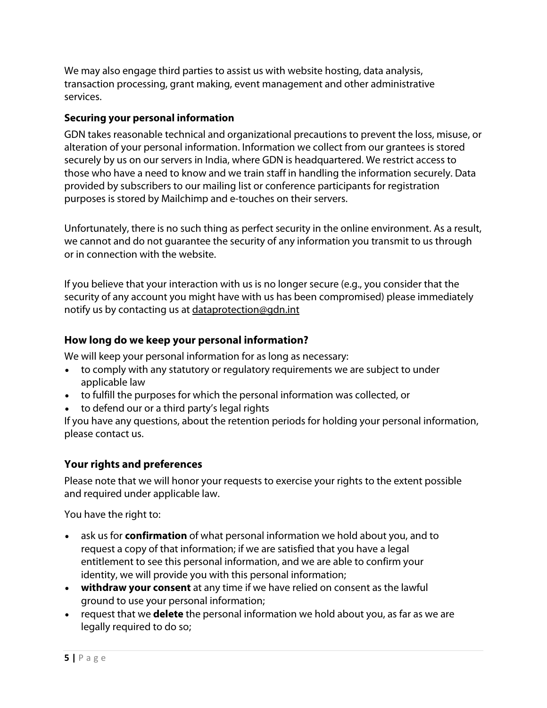We may also engage third parties to assist us with website hosting, data analysis, transaction processing, grant making, event management and other administrative services.

### **Securing your personal information**

GDN takes reasonable technical and organizational precautions to prevent the loss, misuse, or alteration of your personal information. Information we collect from our grantees is stored securely by us on our servers in India, where GDN is headquartered. We restrict access to those who have a need to know and we train staff in handling the information securely. Data provided by subscribers to our mailing list or conference participants for registration purposes is stored by Mailchimp and e-touches on their servers.

Unfortunately, there is no such thing as perfect security in the online environment. As a result, we cannot and do not guarantee the security of any information you transmit to us through or in connection with the website.

If you believe that your interaction with us is no longer secure (e.g., you consider that the security of any account you might have with us has been compromised) please immediately notify us by contacting us at [dataprotection@gdn.int](mailto:dataprotection@gdn.int)

### **How long do we keep your personal information?**

We will keep your personal information for as long as necessary:

- to comply with any statutory or regulatory requirements we are subject to under applicable law
- to fulfill the purposes for which the personal information was collected, or
- to defend our or a third party's legal rights

If you have any questions, about the retention periods for holding your personal information, please contact us.

## **Your rights and preferences**

Please note that we will honor your requests to exercise your rights to the extent possible and required under applicable law.

You have the right to:

- ask us for **confirmation** of what personal information we hold about you, and to request a copy of that information; if we are satisfied that you have a legal entitlement to see this personal information, and we are able to confirm your identity, we will provide you with this personal information;
- **withdraw your consent** at any time if we have relied on consent as the lawful ground to use your personal information;
- request that we **delete** the personal information we hold about you, as far as we are legally required to do so;